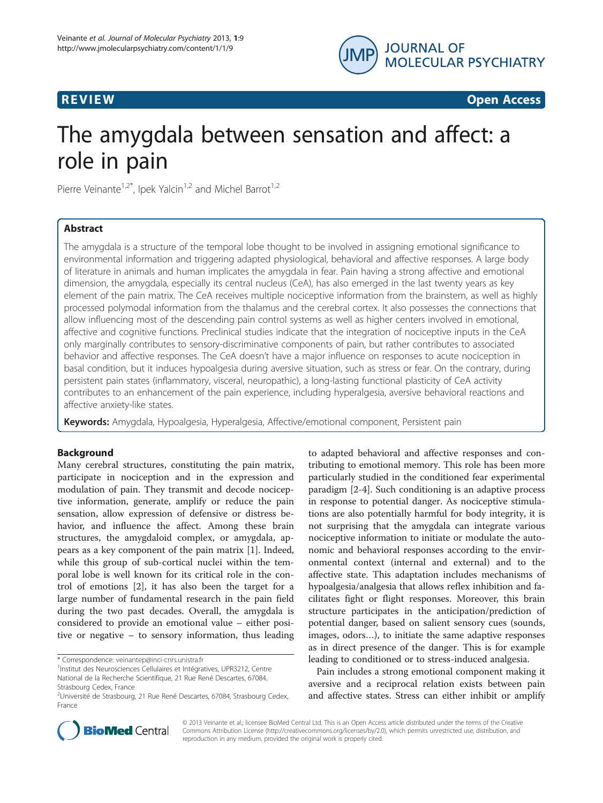

**REVIEW CONTROL** CONTROL CONTROL CONTROL CONTROL CONTROL CONTROL CONTROL CONTROL CONTROL CONTROL CONTROL CONTROL CONTROL CONTROL CONTROL CONTROL CONTROL CONTROL CONTROL CONTROL CONTROL CONTROL CONTROL CONTROL CONTROL CONTR

# The amygdala between sensation and affect: a role in pain

Pierre Veinante<sup>1,2\*</sup>, Ipek Yalcin<sup>1,2</sup> and Michel Barrot<sup>1,2</sup>

# Abstract

The amygdala is a structure of the temporal lobe thought to be involved in assigning emotional significance to environmental information and triggering adapted physiological, behavioral and affective responses. A large body of literature in animals and human implicates the amygdala in fear. Pain having a strong affective and emotional dimension, the amygdala, especially its central nucleus (CeA), has also emerged in the last twenty years as key element of the pain matrix. The CeA receives multiple nociceptive information from the brainstem, as well as highly processed polymodal information from the thalamus and the cerebral cortex. It also possesses the connections that allow influencing most of the descending pain control systems as well as higher centers involved in emotional, affective and cognitive functions. Preclinical studies indicate that the integration of nociceptive inputs in the CeA only marginally contributes to sensory-discriminative components of pain, but rather contributes to associated behavior and affective responses. The CeA doesn't have a major influence on responses to acute nociception in basal condition, but it induces hypoalgesia during aversive situation, such as stress or fear. On the contrary, during persistent pain states (inflammatory, visceral, neuropathic), a long-lasting functional plasticity of CeA activity contributes to an enhancement of the pain experience, including hyperalgesia, aversive behavioral reactions and affective anxiety-like states.

Keywords: Amygdala, Hypoalgesia, Hyperalgesia, Affective/emotional component, Persistent pain

## Background

Many cerebral structures, constituting the pain matrix, participate in nociception and in the expression and modulation of pain. They transmit and decode nociceptive information, generate, amplify or reduce the pain sensation, allow expression of defensive or distress behavior, and influence the affect. Among these brain structures, the amygdaloid complex, or amygdala, appears as a key component of the pain matrix [\[1](#page-10-0)]. Indeed, while this group of sub-cortical nuclei within the temporal lobe is well known for its critical role in the control of emotions [[2\]](#page-10-0), it has also been the target for a large number of fundamental research in the pain field during the two past decades. Overall, the amygdala is considered to provide an emotional value – either positive or negative – to sensory information, thus leading

to adapted behavioral and affective responses and contributing to emotional memory. This role has been more particularly studied in the conditioned fear experimental paradigm [\[2](#page-10-0)-[4\]](#page-10-0). Such conditioning is an adaptive process in response to potential danger. As nociceptive stimulations are also potentially harmful for body integrity, it is not surprising that the amygdala can integrate various nociceptive information to initiate or modulate the autonomic and behavioral responses according to the environmental context (internal and external) and to the affective state. This adaptation includes mechanisms of hypoalgesia/analgesia that allows reflex inhibition and facilitates fight or flight responses. Moreover, this brain structure participates in the anticipation/prediction of potential danger, based on salient sensory cues (sounds, images, odors…), to initiate the same adaptive responses as in direct presence of the danger. This is for example leading to conditioned or to stress-induced analgesia.

Pain includes a strong emotional component making it aversive and a reciprocal relation exists between pain and affective states. Stress can either inhibit or amplify



© 2013 Veinante et al.; licensee BioMed Central Ltd. This is an Open Access article distributed under the terms of the Creative Commons Attribution License [\(http://creativecommons.org/licenses/by/2.0\)](http://creativecommons.org/licenses/by/2.0), which permits unrestricted use, distribution, and reproduction in any medium, provided the original work is properly cited.

<sup>\*</sup> Correspondence: [veinantep@inci-cnrs.unistra.fr](mailto:veinantep@inci-cnrs.unistra.fr) <sup>1</sup>

<sup>&</sup>lt;sup>1</sup>Institut des Neurosciences Cellulaires et Intégratives, UPR3212, Centre National de la Recherche Scientifique, 21 Rue René Descartes, 67084,

Strasbourg Cedex, France

<sup>&</sup>lt;sup>2</sup>Université de Strasbourg, 21 Rue René Descartes, 67084, Strasbourg Cedex, France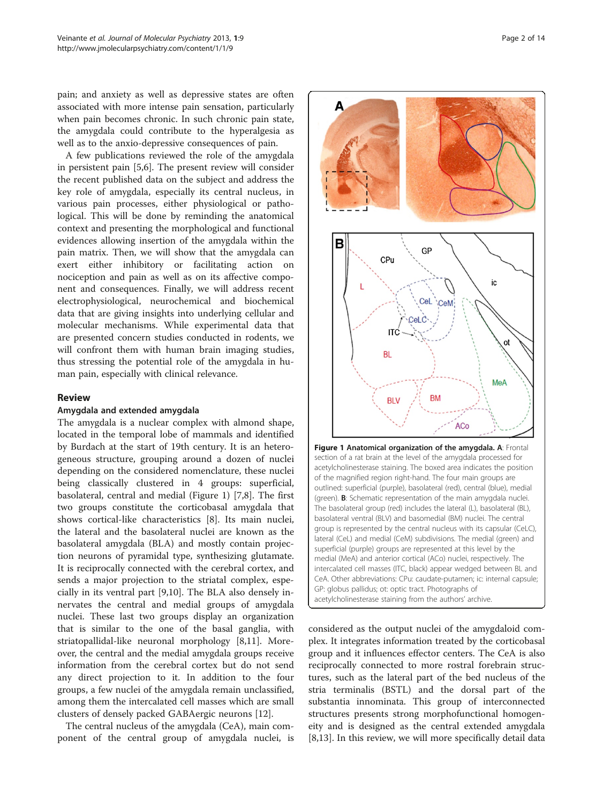pain; and anxiety as well as depressive states are often associated with more intense pain sensation, particularly when pain becomes chronic. In such chronic pain state, the amygdala could contribute to the hyperalgesia as well as to the anxio-depressive consequences of pain.

A few publications reviewed the role of the amygdala in persistent pain [[5,6\]](#page-10-0). The present review will consider the recent published data on the subject and address the key role of amygdala, especially its central nucleus, in various pain processes, either physiological or pathological. This will be done by reminding the anatomical context and presenting the morphological and functional evidences allowing insertion of the amygdala within the pain matrix. Then, we will show that the amygdala can exert either inhibitory or facilitating action on nociception and pain as well as on its affective component and consequences. Finally, we will address recent electrophysiological, neurochemical and biochemical data that are giving insights into underlying cellular and molecular mechanisms. While experimental data that are presented concern studies conducted in rodents, we will confront them with human brain imaging studies, thus stressing the potential role of the amygdala in human pain, especially with clinical relevance.

# Review

# Amygdala and extended amygdala

The amygdala is a nuclear complex with almond shape, located in the temporal lobe of mammals and identified by Burdach at the start of 19th century. It is an heterogeneous structure, grouping around a dozen of nuclei depending on the considered nomenclature, these nuclei being classically clustered in 4 groups: superficial, basolateral, central and medial (Figure 1) [\[7,8](#page-10-0)]. The first two groups constitute the corticobasal amygdala that shows cortical-like characteristics [[8\]](#page-10-0). Its main nuclei, the lateral and the basolateral nuclei are known as the basolateral amygdala (BLA) and mostly contain projection neurons of pyramidal type, synthesizing glutamate. It is reciprocally connected with the cerebral cortex, and sends a major projection to the striatal complex, especially in its ventral part [\[9](#page-10-0),[10](#page-10-0)]. The BLA also densely innervates the central and medial groups of amygdala nuclei. These last two groups display an organization that is similar to the one of the basal ganglia, with striatopallidal-like neuronal morphology [[8,11](#page-10-0)]. Moreover, the central and the medial amygdala groups receive information from the cerebral cortex but do not send any direct projection to it. In addition to the four groups, a few nuclei of the amygdala remain unclassified, among them the intercalated cell masses which are small clusters of densely packed GABAergic neurons [\[12\]](#page-11-0).

The central nucleus of the amygdala (CeA), main component of the central group of amygdala nuclei, is



considered as the output nuclei of the amygdaloid complex. It integrates information treated by the corticobasal group and it influences effector centers. The CeA is also reciprocally connected to more rostral forebrain structures, such as the lateral part of the bed nucleus of the stria terminalis (BSTL) and the dorsal part of the substantia innominata. This group of interconnected structures presents strong morphofunctional homogeneity and is designed as the central extended amygdala [[8,](#page-10-0)[13\]](#page-11-0). In this review, we will more specifically detail data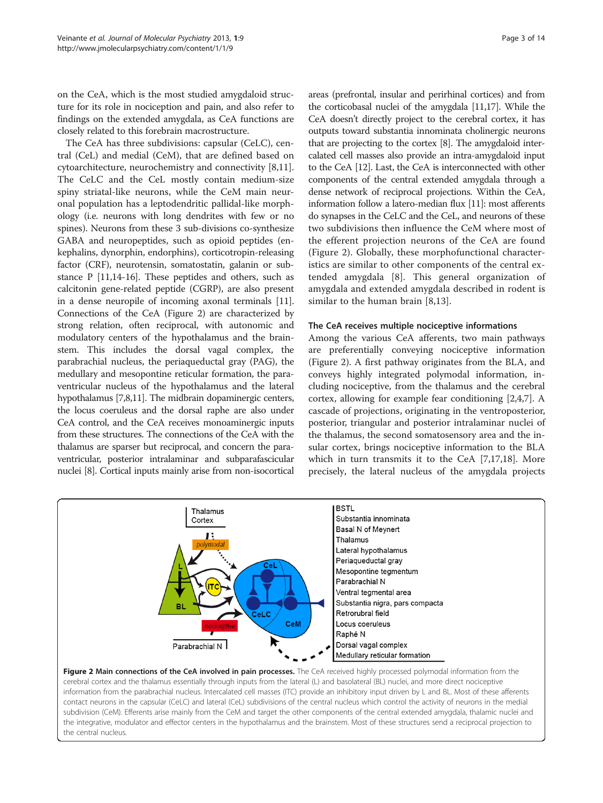on the CeA, which is the most studied amygdaloid structure for its role in nociception and pain, and also refer to findings on the extended amygdala, as CeA functions are closely related to this forebrain macrostructure.

The CeA has three subdivisions: capsular (CeLC), central (CeL) and medial (CeM), that are defined based on cytoarchitecture, neurochemistry and connectivity [\[8,11](#page-10-0)]. The CeLC and the CeL mostly contain medium-size spiny striatal-like neurons, while the CeM main neuronal population has a leptodendritic pallidal-like morphology (i.e. neurons with long dendrites with few or no spines). Neurons from these 3 sub-divisions co-synthesize GABA and neuropeptides, such as opioid peptides (enkephalins, dynorphin, endorphins), corticotropin-releasing factor (CRF), neurotensin, somatostatin, galanin or substance P [\[11,](#page-10-0)[14](#page-11-0)-[16](#page-11-0)]. These peptides and others, such as calcitonin gene-related peptide (CGRP), are also present in a dense neuropile of incoming axonal terminals [[11](#page-10-0)]. Connections of the CeA (Figure 2) are characterized by strong relation, often reciprocal, with autonomic and modulatory centers of the hypothalamus and the brainstem. This includes the dorsal vagal complex, the parabrachial nucleus, the periaqueductal gray (PAG), the medullary and mesopontine reticular formation, the paraventricular nucleus of the hypothalamus and the lateral hypothalamus [\[7,8,11](#page-10-0)]. The midbrain dopaminergic centers, the locus coeruleus and the dorsal raphe are also under CeA control, and the CeA receives monoaminergic inputs from these structures. The connections of the CeA with the thalamus are sparser but reciprocal, and concern the paraventricular, posterior intralaminar and subparafascicular nuclei [\[8\]](#page-10-0). Cortical inputs mainly arise from non-isocortical areas (prefrontal, insular and perirhinal cortices) and from the corticobasal nuclei of the amygdala [\[11](#page-10-0)[,17\]](#page-11-0). While the CeA doesn't directly project to the cerebral cortex, it has outputs toward substantia innominata cholinergic neurons that are projecting to the cortex [[8](#page-10-0)]. The amygdaloid intercalated cell masses also provide an intra-amygdaloid input to the CeA [[12](#page-11-0)]. Last, the CeA is interconnected with other components of the central extended amygdala through a dense network of reciprocal projections. Within the CeA, information follow a latero-median flux [[11\]](#page-10-0): most afferents do synapses in the CeLC and the CeL, and neurons of these two subdivisions then influence the CeM where most of the efferent projection neurons of the CeA are found (Figure 2). Globally, these morphofunctional characteristics are similar to other components of the central extended amygdala [[8](#page-10-0)]. This general organization of amygdala and extended amygdala described in rodent is similar to the human brain [\[8](#page-10-0),[13\]](#page-11-0).

#### The CeA receives multiple nociceptive informations

Among the various CeA afferents, two main pathways are preferentially conveying nociceptive information (Figure 2). A first pathway originates from the BLA, and conveys highly integrated polymodal information, including nociceptive, from the thalamus and the cerebral cortex, allowing for example fear conditioning [[2,4,7\]](#page-10-0). A cascade of projections, originating in the ventroposterior, posterior, triangular and posterior intralaminar nuclei of the thalamus, the second somatosensory area and the insular cortex, brings nociceptive information to the BLA which in turn transmits it to the CeA [[7](#page-10-0),[17](#page-11-0),[18](#page-11-0)]. More precisely, the lateral nucleus of the amygdala projects



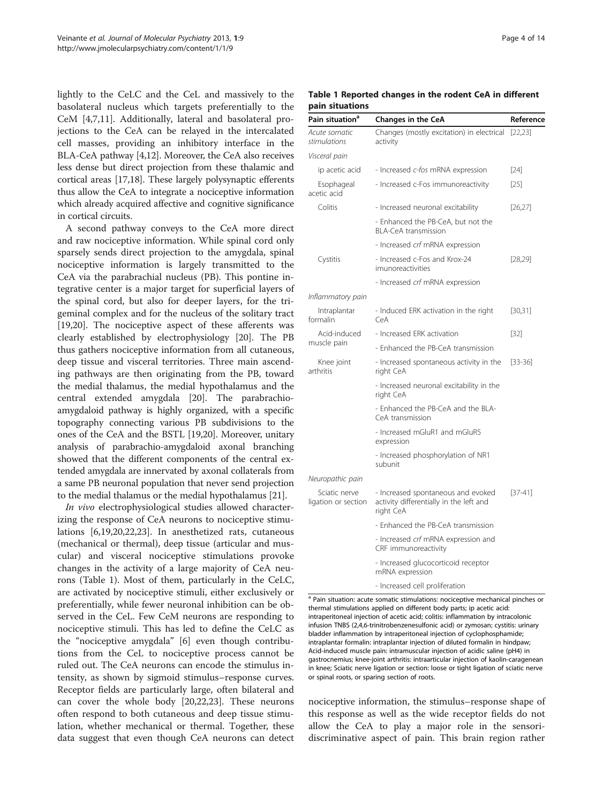<span id="page-3-0"></span>lightly to the CeLC and the CeL and massively to the basolateral nucleus which targets preferentially to the CeM [[4,7,11\]](#page-10-0). Additionally, lateral and basolateral projections to the CeA can be relayed in the intercalated cell masses, providing an inhibitory interface in the BLA-CeA pathway [[4,](#page-10-0)[12](#page-11-0)]. Moreover, the CeA also receives less dense but direct projection from these thalamic and cortical areas [[17,18\]](#page-11-0). These largely polysynaptic efferents thus allow the CeA to integrate a nociceptive information which already acquired affective and cognitive significance in cortical circuits.

A second pathway conveys to the CeA more direct and raw nociceptive information. While spinal cord only sparsely sends direct projection to the amygdala, spinal nociceptive information is largely transmitted to the CeA via the parabrachial nucleus (PB). This pontine integrative center is a major target for superficial layers of the spinal cord, but also for deeper layers, for the trigeminal complex and for the nucleus of the solitary tract [[19,20\]](#page-11-0). The nociceptive aspect of these afferents was clearly established by electrophysiology [[20\]](#page-11-0). The PB thus gathers nociceptive information from all cutaneous, deep tissue and visceral territories. Three main ascending pathways are then originating from the PB, toward the medial thalamus, the medial hypothalamus and the central extended amygdala [[20\]](#page-11-0). The parabrachioamygdaloid pathway is highly organized, with a specific topography connecting various PB subdivisions to the ones of the CeA and the BSTL [[19,20](#page-11-0)]. Moreover, unitary analysis of parabrachio-amygdaloid axonal branching showed that the different components of the central extended amygdala are innervated by axonal collaterals from a same PB neuronal population that never send projection to the medial thalamus or the medial hypothalamus [[21\]](#page-11-0).

In vivo electrophysiological studies allowed characterizing the response of CeA neurons to nociceptive stimulations [\[6](#page-10-0)[,19,20,22,23](#page-11-0)]. In anesthetized rats, cutaneous (mechanical or thermal), deep tissue (articular and muscular) and visceral nociceptive stimulations provoke changes in the activity of a large majority of CeA neurons (Table 1). Most of them, particularly in the CeLC, are activated by nociceptive stimuli, either exclusively or preferentially, while fewer neuronal inhibition can be observed in the CeL. Few CeM neurons are responding to nociceptive stimuli. This has led to define the CeLC as the "nociceptive amygdala" [\[6](#page-10-0)] even though contributions from the CeL to nociceptive process cannot be ruled out. The CeA neurons can encode the stimulus intensity, as shown by sigmoid stimulus–response curves. Receptor fields are particularly large, often bilateral and can cover the whole body [\[20,22,23](#page-11-0)]. These neurons often respond to both cutaneous and deep tissue stimulation, whether mechanical or thermal. Together, these data suggest that even though CeA neurons can detect

#### Table 1 Reported changes in the rodent CeA in different pain situations

| Pain situation <sup>a</sup>          | <b>Changes in the CeA</b>                                                                  | Reference |
|--------------------------------------|--------------------------------------------------------------------------------------------|-----------|
| Acute somatic<br>stimulations        | Changes (mostly excitation) in electrical<br>activity                                      | [22, 23]  |
| Visceral pain                        |                                                                                            |           |
| ip acetic acid                       | - Increased c-fos mRNA expression                                                          | $[24]$    |
| Esophageal<br>acetic acid            | - Increased c-Fos immunoreactivity                                                         | $[25]$    |
| Colitis                              | - Increased neuronal excitability                                                          | [26, 27]  |
|                                      | - Enhanced the PB-CeA, but not the<br><b>BLA-CeA transmission</b>                          |           |
|                                      | - Increased crf mRNA expression                                                            |           |
| Cystitis                             | - Increased c-Fos and Krox-24<br>imunoreactivities                                         | [28, 29]  |
|                                      | - Increased crf mRNA expression                                                            |           |
| Inflammatory pain                    |                                                                                            |           |
| Intraplantar<br>formalin             | - Induced ERK activation in the right<br>CeA                                               | [30,31]   |
| Acid-induced                         | - Increased ERK activation                                                                 | $[32]$    |
| muscle pain                          | - Enhanced the PB-CeA transmission                                                         |           |
| Knee joint<br>arthritis              | - Increased spontaneous activity in the<br>right CeA                                       | $[33-36]$ |
|                                      | - Increased neuronal excitability in the<br>right CeA                                      |           |
|                                      | - Enhanced the PB-CeA and the BLA-<br>CeA transmission                                     |           |
|                                      | - Increased mGluR1 and mGluR5<br>expression                                                |           |
|                                      | - Increased phosphorylation of NR1<br>subunit                                              |           |
| Neuropathic pain                     |                                                                                            |           |
| Sciatic nerve<br>ligation or section | - Increased spontaneous and evoked<br>activity differentially in the left and<br>right CeA | $[37-41]$ |
|                                      | - Enhanced the PB-CeA transmission                                                         |           |
|                                      | - Increased crf mRNA expression and<br>CRF immunoreactivity                                |           |
|                                      | - Increased glucocorticoid receptor<br>mRNA expression                                     |           |
|                                      | - Increased cell proliferation                                                             |           |

<sup>a</sup> Pain situation: acute somatic stimulations: nociceptive mechanical pinches or thermal stimulations applied on different body parts; ip acetic acid: intraperitoneal injection of acetic acid; colitis: inflammation by intracolonic infusion TNBS (2,4,6-trinitrobenzenesulfonic acid) or zymosan; cystitis: urinary bladder inflammation by intraperitoneal injection of cyclophosphamide; intraplantar formalin: intraplantar injection of diluted formalin in hindpaw; Acid-induced muscle pain: intramuscular injection of acidic saline (pH4) in gastrocnemius; knee-joint arthritis: intraarticular injection of kaolin-caragenean in knee; Sciatic nerve ligation or section: loose or tight ligation of sciatic nerve or spinal roots, or sparing section of roots.

nociceptive information, the stimulus–response shape of this response as well as the wide receptor fields do not allow the CeA to play a major role in the sensoridiscriminative aspect of pain. This brain region rather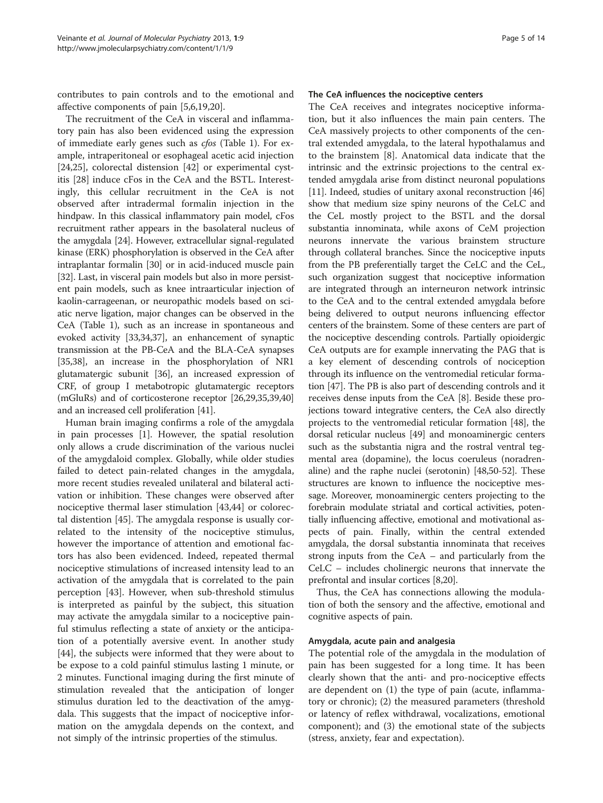contributes to pain controls and to the emotional and affective components of pain [\[5,6](#page-10-0)[,19,20](#page-11-0)].

The recruitment of the CeA in visceral and inflammatory pain has also been evidenced using the expression of immediate early genes such as cfos (Table [1](#page-3-0)). For example, intraperitoneal or esophageal acetic acid injection [[24,25\]](#page-11-0), colorectal distension [[42\]](#page-11-0) or experimental cystitis [\[28](#page-11-0)] induce cFos in the CeA and the BSTL. Interestingly, this cellular recruitment in the CeA is not observed after intradermal formalin injection in the hindpaw. In this classical inflammatory pain model, cFos recruitment rather appears in the basolateral nucleus of the amygdala [\[24\]](#page-11-0). However, extracellular signal-regulated kinase (ERK) phosphorylation is observed in the CeA after intraplantar formalin [[30](#page-11-0)] or in acid-induced muscle pain [[32](#page-11-0)]. Last, in visceral pain models but also in more persistent pain models, such as knee intraarticular injection of kaolin-carrageenan, or neuropathic models based on sciatic nerve ligation, major changes can be observed in the CeA (Table [1](#page-3-0)), such as an increase in spontaneous and evoked activity [\[33,34,37\]](#page-11-0), an enhancement of synaptic transmission at the PB-CeA and the BLA-CeA synapses [[35,38](#page-11-0)], an increase in the phosphorylation of NR1 glutamatergic subunit [[36](#page-11-0)], an increased expression of CRF, of group I metabotropic glutamatergic receptors (mGluRs) and of corticosterone receptor [\[26,29,35,39,40](#page-11-0)] and an increased cell proliferation [\[41\]](#page-11-0).

Human brain imaging confirms a role of the amygdala in pain processes [\[1](#page-10-0)]. However, the spatial resolution only allows a crude discrimination of the various nuclei of the amygdaloid complex. Globally, while older studies failed to detect pain-related changes in the amygdala, more recent studies revealed unilateral and bilateral activation or inhibition. These changes were observed after nociceptive thermal laser stimulation [[43](#page-11-0),[44](#page-11-0)] or colorectal distention [[45](#page-11-0)]. The amygdala response is usually correlated to the intensity of the nociceptive stimulus, however the importance of attention and emotional factors has also been evidenced. Indeed, repeated thermal nociceptive stimulations of increased intensity lead to an activation of the amygdala that is correlated to the pain perception [[43](#page-11-0)]. However, when sub-threshold stimulus is interpreted as painful by the subject, this situation may activate the amygdala similar to a nociceptive painful stimulus reflecting a state of anxiety or the anticipation of a potentially aversive event. In another study [[44\]](#page-11-0), the subjects were informed that they were about to be expose to a cold painful stimulus lasting 1 minute, or 2 minutes. Functional imaging during the first minute of stimulation revealed that the anticipation of longer stimulus duration led to the deactivation of the amygdala. This suggests that the impact of nociceptive information on the amygdala depends on the context, and not simply of the intrinsic properties of the stimulus.

#### The CeA influences the nociceptive centers

The CeA receives and integrates nociceptive information, but it also influences the main pain centers. The CeA massively projects to other components of the central extended amygdala, to the lateral hypothalamus and to the brainstem [\[8](#page-10-0)]. Anatomical data indicate that the intrinsic and the extrinsic projections to the central extended amygdala arise from distinct neuronal populations [[11](#page-10-0)]. Indeed, studies of unitary axonal reconstruction [[46](#page-11-0)] show that medium size spiny neurons of the CeLC and the CeL mostly project to the BSTL and the dorsal substantia innominata, while axons of CeM projection neurons innervate the various brainstem structure through collateral branches. Since the nociceptive inputs from the PB preferentially target the CeLC and the CeL, such organization suggest that nociceptive information are integrated through an interneuron network intrinsic to the CeA and to the central extended amygdala before being delivered to output neurons influencing effector centers of the brainstem. Some of these centers are part of the nociceptive descending controls. Partially opioidergic CeA outputs are for example innervating the PAG that is a key element of descending controls of nociception through its influence on the ventromedial reticular formation [\[47](#page-11-0)]. The PB is also part of descending controls and it receives dense inputs from the CeA [[8](#page-10-0)]. Beside these projections toward integrative centers, the CeA also directly projects to the ventromedial reticular formation [\[48](#page-11-0)], the dorsal reticular nucleus [[49](#page-11-0)] and monoaminergic centers such as the substantia nigra and the rostral ventral tegmental area (dopamine), the locus coeruleus (noradrenaline) and the raphe nuclei (serotonin) [\[48,50-52\]](#page-11-0). These structures are known to influence the nociceptive message. Moreover, monoaminergic centers projecting to the forebrain modulate striatal and cortical activities, potentially influencing affective, emotional and motivational aspects of pain. Finally, within the central extended amygdala, the dorsal substantia innominata that receives strong inputs from the CeA – and particularly from the CeLC – includes cholinergic neurons that innervate the prefrontal and insular cortices [[8](#page-10-0)[,20](#page-11-0)].

Thus, the CeA has connections allowing the modulation of both the sensory and the affective, emotional and cognitive aspects of pain.

#### Amygdala, acute pain and analgesia

The potential role of the amygdala in the modulation of pain has been suggested for a long time. It has been clearly shown that the anti- and pro-nociceptive effects are dependent on (1) the type of pain (acute, inflammatory or chronic); (2) the measured parameters (threshold or latency of reflex withdrawal, vocalizations, emotional component); and (3) the emotional state of the subjects (stress, anxiety, fear and expectation).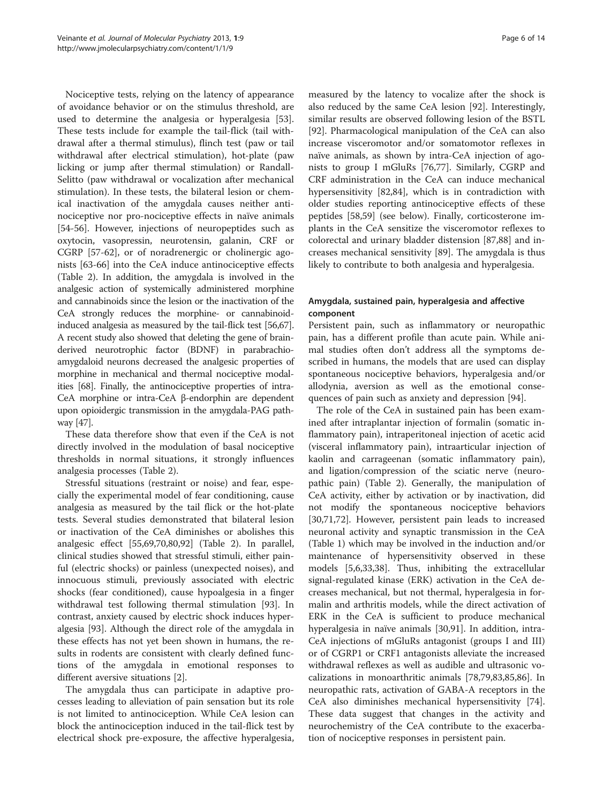Nociceptive tests, relying on the latency of appearance of avoidance behavior or on the stimulus threshold, are used to determine the analgesia or hyperalgesia [\[53](#page-11-0)]. These tests include for example the tail-flick (tail withdrawal after a thermal stimulus), flinch test (paw or tail withdrawal after electrical stimulation), hot-plate (paw licking or jump after thermal stimulation) or Randall-Selitto (paw withdrawal or vocalization after mechanical stimulation). In these tests, the bilateral lesion or chemical inactivation of the amygdala causes neither antinociceptive nor pro-nociceptive effects in naïve animals [[54-56](#page-11-0)]. However, injections of neuropeptides such as oxytocin, vasopressin, neurotensin, galanin, CRF or CGRP [[57-](#page-11-0)[62\]](#page-12-0), or of noradrenergic or cholinergic agonists [\[63-66](#page-12-0)] into the CeA induce antinociceptive effects (Table [2\)](#page-6-0). In addition, the amygdala is involved in the analgesic action of systemically administered morphine and cannabinoids since the lesion or the inactivation of the CeA strongly reduces the morphine- or cannabinoidinduced analgesia as measured by the tail-flick test [\[56,](#page-11-0)[67](#page-12-0)]. A recent study also showed that deleting the gene of brainderived neurotrophic factor (BDNF) in parabrachioamygdaloid neurons decreased the analgesic properties of morphine in mechanical and thermal nociceptive modalities [\[68](#page-12-0)]. Finally, the antinociceptive properties of intra-CeA morphine or intra-CeA β-endorphin are dependent upon opioidergic transmission in the amygdala-PAG pathway [[47](#page-11-0)].

These data therefore show that even if the CeA is not directly involved in the modulation of basal nociceptive thresholds in normal situations, it strongly influences analgesia processes (Table [2\)](#page-6-0).

Stressful situations (restraint or noise) and fear, especially the experimental model of fear conditioning, cause analgesia as measured by the tail flick or the hot-plate tests. Several studies demonstrated that bilateral lesion or inactivation of the CeA diminishes or abolishes this analgesic effect [\[55](#page-11-0)[,69,70,80,92\]](#page-12-0) (Table [2\)](#page-6-0). In parallel, clinical studies showed that stressful stimuli, either painful (electric shocks) or painless (unexpected noises), and innocuous stimuli, previously associated with electric shocks (fear conditioned), cause hypoalgesia in a finger withdrawal test following thermal stimulation [\[93](#page-12-0)]. In contrast, anxiety caused by electric shock induces hyperalgesia [\[93\]](#page-12-0). Although the direct role of the amygdala in these effects has not yet been shown in humans, the results in rodents are consistent with clearly defined functions of the amygdala in emotional responses to different aversive situations [[2\]](#page-10-0).

The amygdala thus can participate in adaptive processes leading to alleviation of pain sensation but its role is not limited to antinociception. While CeA lesion can block the antinociception induced in the tail-flick test by electrical shock pre-exposure, the affective hyperalgesia,

measured by the latency to vocalize after the shock is also reduced by the same CeA lesion [[92\]](#page-12-0). Interestingly, similar results are observed following lesion of the BSTL [[92\]](#page-12-0). Pharmacological manipulation of the CeA can also increase visceromotor and/or somatomotor reflexes in naïve animals, as shown by intra-CeA injection of agonists to group I mGluRs [[76,77\]](#page-12-0). Similarly, CGRP and CRF administration in the CeA can induce mechanical hypersensitivity [\[82,84\]](#page-12-0), which is in contradiction with older studies reporting antinociceptive effects of these peptides [[58,59\]](#page-12-0) (see below). Finally, corticosterone implants in the CeA sensitize the visceromotor reflexes to colorectal and urinary bladder distension [[87,88](#page-12-0)] and increases mechanical sensitivity [[89](#page-12-0)]. The amygdala is thus likely to contribute to both analgesia and hyperalgesia.

# Amygdala, sustained pain, hyperalgesia and affective component

Persistent pain, such as inflammatory or neuropathic pain, has a different profile than acute pain. While animal studies often don't address all the symptoms described in humans, the models that are used can display spontaneous nociceptive behaviors, hyperalgesia and/or allodynia, aversion as well as the emotional consequences of pain such as anxiety and depression [[94\]](#page-12-0).

The role of the CeA in sustained pain has been examined after intraplantar injection of formalin (somatic inflammatory pain), intraperitoneal injection of acetic acid (visceral inflammatory pain), intraarticular injection of kaolin and carrageenan (somatic inflammatory pain), and ligation/compression of the sciatic nerve (neuropathic pain) (Table [2](#page-6-0)). Generally, the manipulation of CeA activity, either by activation or by inactivation, did not modify the spontaneous nociceptive behaviors [[30,](#page-11-0)[71,72\]](#page-12-0). However, persistent pain leads to increased neuronal activity and synaptic transmission in the CeA (Table [1](#page-3-0)) which may be involved in the induction and/or maintenance of hypersensitivity observed in these models [[5,6](#page-10-0)[,33,38\]](#page-11-0). Thus, inhibiting the extracellular signal-regulated kinase (ERK) activation in the CeA decreases mechanical, but not thermal, hyperalgesia in formalin and arthritis models, while the direct activation of ERK in the CeA is sufficient to produce mechanical hyperalgesia in naïve animals [\[30,](#page-11-0)[91\]](#page-12-0). In addition, intra-CeA injections of mGluRs antagonist (groups I and III) or of CGRP1 or CRF1 antagonists alleviate the increased withdrawal reflexes as well as audible and ultrasonic vocalizations in monoarthritic animals [[78,79,83,85,86](#page-12-0)]. In neuropathic rats, activation of GABA-A receptors in the CeA also diminishes mechanical hypersensitivity [\[74](#page-12-0)]. These data suggest that changes in the activity and neurochemistry of the CeA contribute to the exacerbation of nociceptive responses in persistent pain.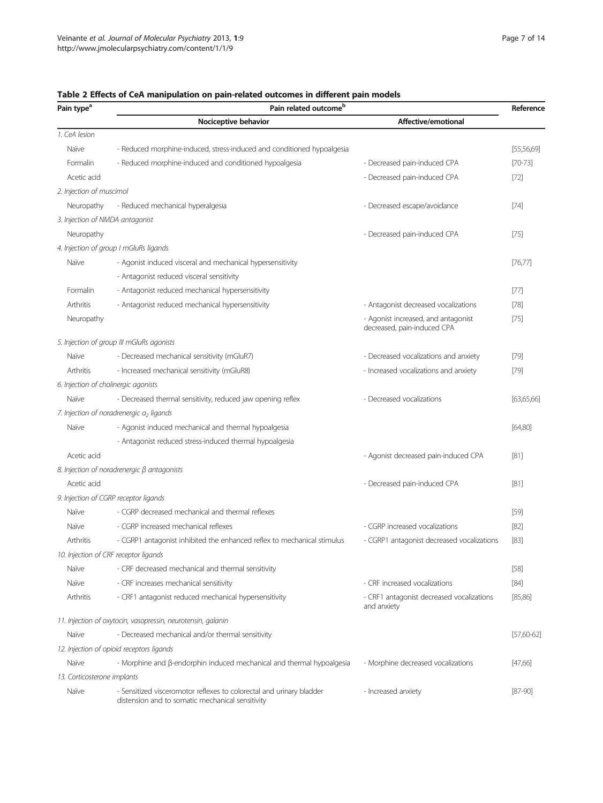| Pain type <sup>a</sup>               | Pain related outcome <sup>b</sup>                                                                                        |                                                                    |              |
|--------------------------------------|--------------------------------------------------------------------------------------------------------------------------|--------------------------------------------------------------------|--------------|
|                                      | Nociceptive behavior                                                                                                     | Affective/emotional                                                |              |
| 1. CeA lesion                        |                                                                                                                          |                                                                    |              |
| Naïve                                | - Reduced morphine-induced, stress-induced and conditioned hypoalgesia                                                   |                                                                    | [55, 56, 69] |
| Formalin                             | - Reduced morphine-induced and conditioned hypoalgesia                                                                   | - Decreased pain-induced CPA                                       | $[70-73]$    |
| Acetic acid                          |                                                                                                                          | - Decreased pain-induced CPA                                       | $[72]$       |
| 2. Injection of muscimol             |                                                                                                                          |                                                                    |              |
| Neuropathy                           | - Reduced mechanical hyperalgesia                                                                                        | - Decreased escape/avoidance                                       | $[74]$       |
| 3. Injection of NMDA antagonist      |                                                                                                                          |                                                                    |              |
| Neuropathy                           |                                                                                                                          | - Decreased pain-induced CPA                                       | $[75]$       |
|                                      | 4. Injection of group I mGluRs ligands                                                                                   |                                                                    |              |
| Naïve                                | - Agonist induced visceral and mechanical hypersensitivity                                                               |                                                                    | [76, 77]     |
|                                      | - Antagonist reduced visceral sensitivity                                                                                |                                                                    |              |
| Formalin                             | - Antagonist reduced mechanical hypersensitivity                                                                         |                                                                    | [77]         |
| Arthritis                            | - Antagonist reduced mechanical hypersensitivity                                                                         | - Antagonist decreased vocalizations                               | $[78]$       |
| Neuropathy                           |                                                                                                                          | - Agonist increased, and antagonist<br>decreased, pain-induced CPA | $[75]$       |
|                                      | 5. Injection of group III mGluRs agonists                                                                                |                                                                    |              |
| Naïve                                | - Decreased mechanical sensitivity (mGluR7)                                                                              | - Decreased vocalizations and anxiety                              | $[79]$       |
| Arthritis                            | - Increased mechanical sensitivity (mGluR8)                                                                              | - Increased vocalizations and anxiety                              | $[79]$       |
| 6. Injection of cholinergic agonists |                                                                                                                          |                                                                    |              |
| Naïve                                | - Decreased thermal sensitivity, reduced jaw opening reflex                                                              | - Decreased vocalizations                                          | [63, 65, 66] |
|                                      | 7. Injection of noradrenergic $a_2$ ligands                                                                              |                                                                    |              |
| Naïve                                | - Agonist induced mechanical and thermal hypoalgesia                                                                     |                                                                    | [64, 80]     |
|                                      | - Antagonist reduced stress-induced thermal hypoalgesia                                                                  |                                                                    |              |
| Acetic acid                          |                                                                                                                          | - Agonist decreased pain-induced CPA                               | $[81]$       |
|                                      | 8. Injection of noradrenergic $\beta$ antagonists                                                                        |                                                                    |              |
| Acetic acid                          |                                                                                                                          | - Decreased pain-induced CPA                                       | $[81]$       |
|                                      | 9. Injection of CGRP receptor ligands                                                                                    |                                                                    |              |
| Naïve                                | - CGRP decreased mechanical and thermal reflexes                                                                         |                                                                    | $[59]$       |
| Naïve                                | - CGRP increased mechanical reflexes                                                                                     | - CGRP increased vocalizations                                     | $[82]$       |
| Arthritis                            | - CGRP1 antagonist inhibited the enhanced reflex to mechanical stimulus                                                  | - CGRP1 antagonist decreased vocalizations                         | $[83]$       |
|                                      | 10. Injection of CRF receptor ligands                                                                                    |                                                                    |              |
| Naïve                                | - CRF decreased mechanical and thermal sensitivity                                                                       |                                                                    | $[58]$       |
| Naïve                                | - CRF increases mechanical sensitivity                                                                                   | - CRF increased vocalizations                                      | $[84]$       |
| Arthritis                            | - CRF1 antagonist reduced mechanical hypersensitivity                                                                    | - CRF1 antagonist decreased vocalizations<br>and anxiety           | [85, 86]     |
|                                      | 11. Injection of oxytocin, vasopressin, neurotensin, galanin                                                             |                                                                    |              |
| Naïve                                | - Decreased mechanical and/or thermal sensitivity                                                                        |                                                                    | $[57,60-62]$ |
|                                      | 12. Injection of opioid receptors ligands                                                                                |                                                                    |              |
| Naïve                                | - Morphine and $\beta$ -endorphin induced mechanical and thermal hypoalgesia                                             | - Morphine decreased vocalizations                                 | [47,66]      |
| 13. Corticosterone implants          |                                                                                                                          |                                                                    |              |
| Naïve                                | - Sensitized visceromotor reflexes to colorectal and urinary bladder<br>distension and to somatic mechanical sensitivity | - Increased anxiety                                                | $[87-90]$    |

# <span id="page-6-0"></span>Table 2 Effects of CeA manipulation on pain-related outcomes in different pain models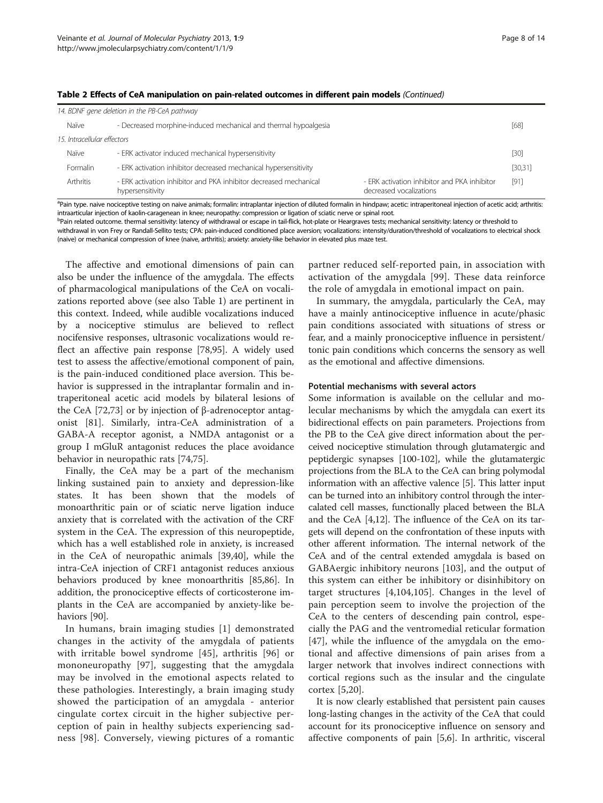|                             | 14. BDNF gene deletion in the PB-CeA pathway                                          |                                                                         |         |
|-----------------------------|---------------------------------------------------------------------------------------|-------------------------------------------------------------------------|---------|
| Naïve                       | - Decreased morphine-induced mechanical and thermal hypoalgesia                       |                                                                         |         |
| 15. Intracellular effectors |                                                                                       |                                                                         |         |
| Naïve                       | - ERK activator induced mechanical hypersensitivity                                   |                                                                         | $[30]$  |
| Formalin                    | - ERK activation inhibitor decreased mechanical hypersensitivity                      |                                                                         | [30,31] |
| Arthritis                   | - FRK activation inhibitor and PKA inhibitor decreased mechanical<br>hypersensitivity | - FRK activation inhibitor and PKA inhibitor<br>decreased vocalizations | $[91]$  |

| Table 2 Effects of CeA manipulation on pain-related outcomes in different pain models (Continued) |  |  |  |
|---------------------------------------------------------------------------------------------------|--|--|--|
|---------------------------------------------------------------------------------------------------|--|--|--|

<sup>a</sup>Pain type. naive nociceptive testing on naive animals; formalin: intraplantar injection of diluted formalin in hindpaw; acetic: intraperitoneal injection of acetic acid; arthritis intraarticular injection of kaolin-caragenean in knee; neuropathy: compression or ligation of sciatic nerve or spinal root.

<sup>b</sup>Pain related outcome. thermal sensitivity: latency of withdrawal or escape in tail-flick, hot-plate or Heargraves tests; mechanical sensitivity: latency or threshold to

withdrawal in von Frey or Randall-Sellito tests; CPA: pain-induced conditioned place aversion; vocalizations: intensity/duration/threshold of vocalizations to electrical shock (naive) or mechanical compression of knee (naive, arthritis); anxiety: anxiety-like behavior in elevated plus maze test.

The affective and emotional dimensions of pain can also be under the influence of the amygdala. The effects of pharmacological manipulations of the CeA on vocalizations reported above (see also Table [1](#page-3-0)) are pertinent in this context. Indeed, while audible vocalizations induced by a nociceptive stimulus are believed to reflect nocifensive responses, ultrasonic vocalizations would reflect an affective pain response [[78](#page-12-0),[95](#page-12-0)]. A widely used test to assess the affective/emotional component of pain, is the pain-induced conditioned place aversion. This behavior is suppressed in the intraplantar formalin and intraperitoneal acetic acid models by bilateral lesions of the CeA [[72,73\]](#page-12-0) or by injection of β-adrenoceptor antagonist [\[81](#page-12-0)]. Similarly, intra-CeA administration of a GABA-A receptor agonist, a NMDA antagonist or a group I mGluR antagonist reduces the place avoidance behavior in neuropathic rats [[74,75](#page-12-0)].

Finally, the CeA may be a part of the mechanism linking sustained pain to anxiety and depression-like states. It has been shown that the models of monoarthritic pain or of sciatic nerve ligation induce anxiety that is correlated with the activation of the CRF system in the CeA. The expression of this neuropeptide, which has a well established role in anxiety, is increased in the CeA of neuropathic animals [\[39,40](#page-11-0)], while the intra-CeA injection of CRF1 antagonist reduces anxious behaviors produced by knee monoarthritis [\[85,86](#page-12-0)]. In addition, the pronociceptive effects of corticosterone implants in the CeA are accompanied by anxiety-like be-haviors [\[90\]](#page-12-0).

In humans, brain imaging studies [[1\]](#page-10-0) demonstrated changes in the activity of the amygdala of patients with irritable bowel syndrome [[45\]](#page-11-0), arthritis [[96](#page-12-0)] or mononeuropathy [\[97\]](#page-12-0), suggesting that the amygdala may be involved in the emotional aspects related to these pathologies. Interestingly, a brain imaging study showed the participation of an amygdala - anterior cingulate cortex circuit in the higher subjective perception of pain in healthy subjects experiencing sadness [\[98\]](#page-12-0). Conversely, viewing pictures of a romantic partner reduced self-reported pain, in association with activation of the amygdala [\[99\]](#page-12-0). These data reinforce the role of amygdala in emotional impact on pain.

In summary, the amygdala, particularly the CeA, may have a mainly antinociceptive influence in acute/phasic pain conditions associated with situations of stress or fear, and a mainly pronociceptive influence in persistent/ tonic pain conditions which concerns the sensory as well as the emotional and affective dimensions.

#### Potential mechanisms with several actors

Some information is available on the cellular and molecular mechanisms by which the amygdala can exert its bidirectional effects on pain parameters. Projections from the PB to the CeA give direct information about the perceived nociceptive stimulation through glutamatergic and peptidergic synapses [\[100-102\]](#page-12-0), while the glutamatergic projections from the BLA to the CeA can bring polymodal information with an affective valence [[5\]](#page-10-0). This latter input can be turned into an inhibitory control through the intercalated cell masses, functionally placed between the BLA and the CeA [[4,](#page-10-0)[12](#page-11-0)]. The influence of the CeA on its targets will depend on the confrontation of these inputs with other afferent information. The internal network of the CeA and of the central extended amygdala is based on GABAergic inhibitory neurons [\[103](#page-13-0)], and the output of this system can either be inhibitory or disinhibitory on target structures [[4](#page-10-0)[,104](#page-13-0),[105\]](#page-13-0). Changes in the level of pain perception seem to involve the projection of the CeA to the centers of descending pain control, especially the PAG and the ventromedial reticular formation [[47\]](#page-11-0), while the influence of the amygdala on the emotional and affective dimensions of pain arises from a larger network that involves indirect connections with cortical regions such as the insular and the cingulate cortex [[5](#page-10-0)[,20](#page-11-0)].

It is now clearly established that persistent pain causes long-lasting changes in the activity of the CeA that could account for its pronociceptive influence on sensory and affective components of pain [\[5](#page-10-0),[6](#page-10-0)]. In arthritic, visceral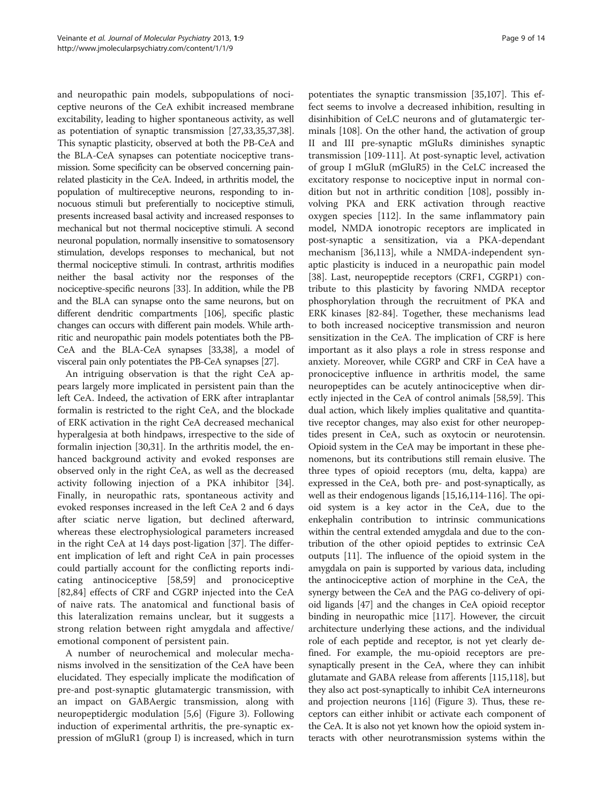and neuropathic pain models, subpopulations of nociceptive neurons of the CeA exhibit increased membrane excitability, leading to higher spontaneous activity, as well as potentiation of synaptic transmission [[27,33,35,37,38](#page-11-0)]. This synaptic plasticity, observed at both the PB-CeA and the BLA-CeA synapses can potentiate nociceptive transmission. Some specificity can be observed concerning painrelated plasticity in the CeA. Indeed, in arthritis model, the population of multireceptive neurons, responding to innocuous stimuli but preferentially to nociceptive stimuli, presents increased basal activity and increased responses to mechanical but not thermal nociceptive stimuli. A second neuronal population, normally insensitive to somatosensory stimulation, develops responses to mechanical, but not thermal nociceptive stimuli. In contrast, arthritis modifies neither the basal activity nor the responses of the nociceptive-specific neurons [\[33](#page-11-0)]. In addition, while the PB and the BLA can synapse onto the same neurons, but on different dendritic compartments [\[106](#page-13-0)], specific plastic changes can occurs with different pain models. While arthritic and neuropathic pain models potentiates both the PB-CeA and the BLA-CeA synapses [\[33,38\]](#page-11-0), a model of visceral pain only potentiates the PB-CeA synapses [\[27](#page-11-0)].

An intriguing observation is that the right CeA appears largely more implicated in persistent pain than the left CeA. Indeed, the activation of ERK after intraplantar formalin is restricted to the right CeA, and the blockade of ERK activation in the right CeA decreased mechanical hyperalgesia at both hindpaws, irrespective to the side of formalin injection [[30](#page-11-0),[31](#page-11-0)]. In the arthritis model, the enhanced background activity and evoked responses are observed only in the right CeA, as well as the decreased activity following injection of a PKA inhibitor [\[34](#page-11-0)]. Finally, in neuropathic rats, spontaneous activity and evoked responses increased in the left CeA 2 and 6 days after sciatic nerve ligation, but declined afterward, whereas these electrophysiological parameters increased in the right CeA at 14 days post-ligation [\[37](#page-11-0)]. The different implication of left and right CeA in pain processes could partially account for the conflicting reports indicating antinociceptive [\[58](#page-12-0),[59\]](#page-12-0) and pronociceptive [[82,84](#page-12-0)] effects of CRF and CGRP injected into the CeA of naive rats. The anatomical and functional basis of this lateralization remains unclear, but it suggests a strong relation between right amygdala and affective/ emotional component of persistent pain.

A number of neurochemical and molecular mechanisms involved in the sensitization of the CeA have been elucidated. They especially implicate the modification of pre-and post-synaptic glutamatergic transmission, with an impact on GABAergic transmission, along with neuropeptidergic modulation [\[5,6](#page-10-0)] (Figure [3](#page-9-0)). Following induction of experimental arthritis, the pre-synaptic expression of mGluR1 (group I) is increased, which in turn

potentiates the synaptic transmission [[35](#page-11-0),[107](#page-13-0)]. This effect seems to involve a decreased inhibition, resulting in disinhibition of CeLC neurons and of glutamatergic terminals [[108\]](#page-13-0). On the other hand, the activation of group II and III pre-synaptic mGluRs diminishes synaptic transmission [[109-111\]](#page-13-0). At post-synaptic level, activation of group I mGluR (mGluR5) in the CeLC increased the excitatory response to nociceptive input in normal condition but not in arthritic condition [[108](#page-13-0)], possibly involving PKA and ERK activation through reactive oxygen species [\[112](#page-13-0)]. In the same inflammatory pain model, NMDA ionotropic receptors are implicated in post-synaptic a sensitization, via a PKA-dependant mechanism [\[36](#page-11-0)[,113](#page-13-0)], while a NMDA-independent synaptic plasticity is induced in a neuropathic pain model [[38\]](#page-11-0). Last, neuropeptide receptors (CRF1, CGRP1) contribute to this plasticity by favoring NMDA receptor phosphorylation through the recruitment of PKA and ERK kinases [[82](#page-12-0)-[84\]](#page-12-0). Together, these mechanisms lead to both increased nociceptive transmission and neuron sensitization in the CeA. The implication of CRF is here important as it also plays a role in stress response and anxiety. Moreover, while CGRP and CRF in CeA have a pronociceptive influence in arthritis model, the same neuropeptides can be acutely antinociceptive when directly injected in the CeA of control animals [\[58,59](#page-12-0)]. This dual action, which likely implies qualitative and quantitative receptor changes, may also exist for other neuropeptides present in CeA, such as oxytocin or neurotensin. Opioid system in the CeA may be important in these phenomenons, but its contributions still remain elusive. The three types of opioid receptors (mu, delta, kappa) are expressed in the CeA, both pre- and post-synaptically, as well as their endogenous ligands [\[15,16](#page-11-0),[114-116](#page-13-0)]. The opioid system is a key actor in the CeA, due to the enkephalin contribution to intrinsic communications within the central extended amygdala and due to the contribution of the other opioid peptides to extrinsic CeA outputs [[11](#page-10-0)]. The influence of the opioid system in the amygdala on pain is supported by various data, including the antinociceptive action of morphine in the CeA, the synergy between the CeA and the PAG co-delivery of opioid ligands [\[47\]](#page-11-0) and the changes in CeA opioid receptor binding in neuropathic mice [\[117\]](#page-13-0). However, the circuit architecture underlying these actions, and the individual role of each peptide and receptor, is not yet clearly defined. For example, the mu-opioid receptors are presynaptically present in the CeA, where they can inhibit glutamate and GABA release from afferents [\[115,118](#page-13-0)], but they also act post-synaptically to inhibit CeA interneurons and projection neurons [[116](#page-13-0)] (Figure [3\)](#page-9-0). Thus, these receptors can either inhibit or activate each component of the CeA. It is also not yet known how the opioid system interacts with other neurotransmission systems within the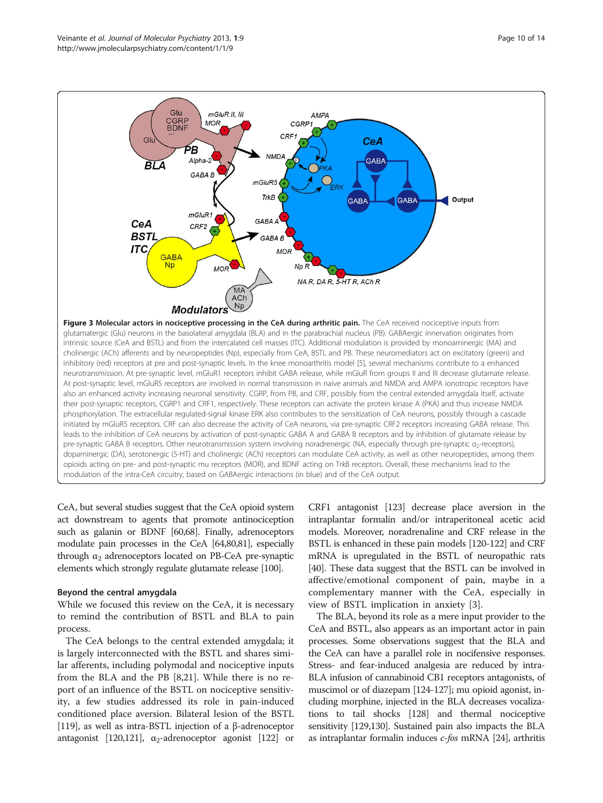<span id="page-9-0"></span>

CeA, but several studies suggest that the CeA opioid system act downstream to agents that promote antinociception such as galanin or BDNF [[60,68\]](#page-12-0). Finally, adrenoceptors modulate pain processes in the CeA [\[64,80,81](#page-12-0)], especially through  $\alpha_2$  adrenoceptors located on PB-CeA pre-synaptic elements which strongly regulate glutamate release [[100\]](#page-12-0).

#### Beyond the central amygdala

While we focused this review on the CeA, it is necessary to remind the contribution of BSTL and BLA to pain process.

The CeA belongs to the central extended amygdala; it is largely interconnected with the BSTL and shares similar afferents, including polymodal and nociceptive inputs from the BLA and the PB [\[8](#page-10-0)[,21](#page-11-0)]. While there is no report of an influence of the BSTL on nociceptive sensitivity, a few studies addressed its role in pain-induced conditioned place aversion. Bilateral lesion of the BSTL [[119](#page-13-0)], as well as intra-BSTL injection of a β-adrenoceptor antagonist [\[120,121](#page-13-0)],  $\alpha_2$ -adrenoceptor agonist [\[122](#page-13-0)] or CRF1 antagonist [\[123](#page-13-0)] decrease place aversion in the intraplantar formalin and/or intraperitoneal acetic acid models. Moreover, noradrenaline and CRF release in the BSTL is enhanced in these pain models [\[120](#page-13-0)-[122](#page-13-0)] and CRF mRNA is upregulated in the BSTL of neuropathic rats [[40](#page-11-0)]. These data suggest that the BSTL can be involved in affective/emotional component of pain, maybe in a complementary manner with the CeA, especially in view of BSTL implication in anxiety [[3\]](#page-10-0).

The BLA, beyond its role as a mere input provider to the CeA and BSTL, also appears as an important actor in pain processes. Some observations suggest that the BLA and the CeA can have a parallel role in nocifensive responses. Stress- and fear-induced analgesia are reduced by intra-BLA infusion of cannabinoid CB1 receptors antagonists, of muscimol or of diazepam [\[124](#page-13-0)-[127](#page-13-0)]; mu opioid agonist, including morphine, injected in the BLA decreases vocalizations to tail shocks [[128\]](#page-13-0) and thermal nociceptive sensitivity [\[129,130\]](#page-13-0). Sustained pain also impacts the BLA as intraplantar formalin induces  $c$ -fos mRNA [[24](#page-11-0)], arthritis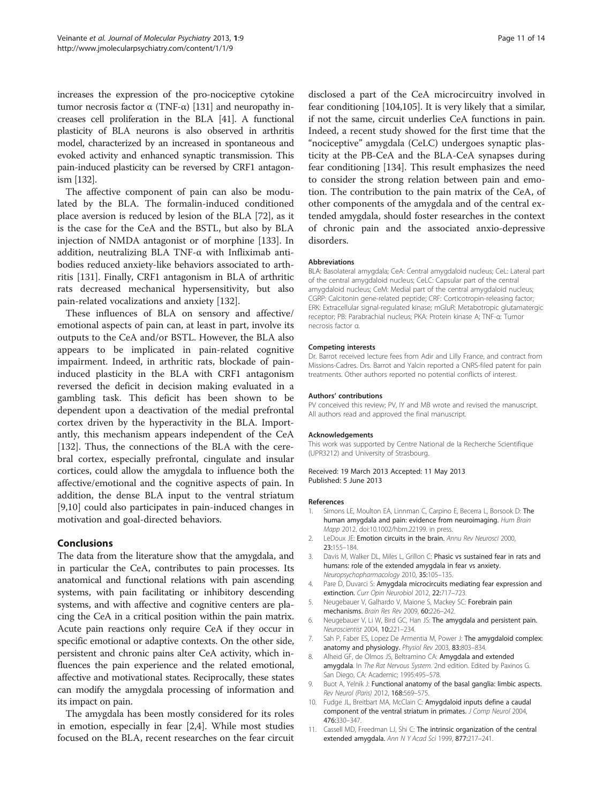<span id="page-10-0"></span>increases the expression of the pro-nociceptive cytokine tumor necrosis factor α (TNF-α) [\[131\]](#page-13-0) and neuropathy increases cell proliferation in the BLA [\[41\]](#page-11-0). A functional plasticity of BLA neurons is also observed in arthritis model, characterized by an increased in spontaneous and evoked activity and enhanced synaptic transmission. This pain-induced plasticity can be reversed by CRF1 antagonism [\[132\]](#page-13-0).

The affective component of pain can also be modulated by the BLA. The formalin-induced conditioned place aversion is reduced by lesion of the BLA [[72\]](#page-12-0), as it is the case for the CeA and the BSTL, but also by BLA injection of NMDA antagonist or of morphine [\[133\]](#page-13-0). In addition, neutralizing BLA TNF-α with Infliximab antibodies reduced anxiety-like behaviors associated to arthritis [\[131\]](#page-13-0). Finally, CRF1 antagonism in BLA of arthritic rats decreased mechanical hypersensitivity, but also pain-related vocalizations and anxiety [\[132\]](#page-13-0).

These influences of BLA on sensory and affective/ emotional aspects of pain can, at least in part, involve its outputs to the CeA and/or BSTL. However, the BLA also appears to be implicated in pain-related cognitive impairment. Indeed, in arthritic rats, blockade of paininduced plasticity in the BLA with CRF1 antagonism reversed the deficit in decision making evaluated in a gambling task. This deficit has been shown to be dependent upon a deactivation of the medial prefrontal cortex driven by the hyperactivity in the BLA. Importantly, this mechanism appears independent of the CeA [[132\]](#page-13-0). Thus, the connections of the BLA with the cerebral cortex, especially prefrontal, cingulate and insular cortices, could allow the amygdala to influence both the affective/emotional and the cognitive aspects of pain. In addition, the dense BLA input to the ventral striatum [9,10] could also participates in pain-induced changes in motivation and goal-directed behaviors.

## Conclusions

The data from the literature show that the amygdala, and in particular the CeA, contributes to pain processes. Its anatomical and functional relations with pain ascending systems, with pain facilitating or inhibitory descending systems, and with affective and cognitive centers are placing the CeA in a critical position within the pain matrix. Acute pain reactions only require CeA if they occur in specific emotional or adaptive contexts. On the other side, persistent and chronic pains alter CeA activity, which influences the pain experience and the related emotional, affective and motivational states. Reciprocally, these states can modify the amygdala processing of information and its impact on pain.

The amygdala has been mostly considered for its roles in emotion, especially in fear [2,4]. While most studies focused on the BLA, recent researches on the fear circuit disclosed a part of the CeA microcircuitry involved in fear conditioning [[104](#page-13-0),[105](#page-13-0)]. It is very likely that a similar, if not the same, circuit underlies CeA functions in pain. Indeed, a recent study showed for the first time that the "nociceptive" amygdala (CeLC) undergoes synaptic plasticity at the PB-CeA and the BLA-CeA synapses during fear conditioning [[134](#page-13-0)]. This result emphasizes the need to consider the strong relation between pain and emotion. The contribution to the pain matrix of the CeA, of other components of the amygdala and of the central extended amygdala, should foster researches in the context of chronic pain and the associated anxio-depressive disorders.

#### Abbreviations

BLA: Basolateral amygdala; CeA: Central amygdaloid nucleus; CeL: Lateral part of the central amygdaloid nucleus; CeLC: Capsular part of the central amygdaloid nucleus; CeM: Medial part of the central amygdaloid nucleus; CGRP: Calcitonin gene-related peptide; CRF: Corticotropin-releasing factor; ERK: Extracellular signal-regulated kinase; mGluR: Metabotropic glutamatergic receptor; PB: Parabrachial nucleus; PKA: Protein kinase A; TNF-α: Tumor necrosis factor α.

#### Competing interests

Dr. Barrot received lecture fees from Adir and Lilly France, and contract from Missions-Cadres. Drs. Barrot and Yalcin reported a CNRS-filed patent for pain treatments. Other authors reported no potential conflicts of interest.

#### Authors' contributions

PV conceived this review; PV, IY and MB wrote and revised the manuscript. All authors read and approved the final manuscript.

#### Acknowledgements

This work was supported by Centre National de la Recherche Scientifique (UPR3212) and University of Strasbourg.

Received: 19 March 2013 Accepted: 11 May 2013 Published: 5 June 2013

#### References

- Simons LE, Moulton EA, Linnman C, Carpino E, Becerra L, Borsook D: The human amygdala and pain: evidence from neuroimaging. Hum Brain Mapp 2012. doi[:10.1002/hbm.22199.](http://dx.doi.org/10.1002/hbm.22199) in press.
- 2. LeDoux JE: Emotion circuits in the brain. Annu Rev Neurosci 2000, 23:155–184.
- 3. Davis M, Walker DL, Miles L, Grillon C: Phasic vs sustained fear in rats and humans: role of the extended amygdala in fear vs anxiety. Neuropsychopharmacology 2010, 35:105–135.
- 4. Pare D, Duvarci S: Amygdala microcircuits mediating fear expression and extinction. Curr Opin Neurobiol 2012, 22:717–723.
- 5. Neugebauer V, Galhardo V, Maione S, Mackey SC: Forebrain pain mechanisms. Brain Res Rev 2009, 60:226–242.
- 6. Neugebauer V, Li W, Bird GC, Han JS: The amygdala and persistent pain. Neuroscientist 2004, 10:221–234.
- 7. Sah P, Faber ES, Lopez De Armentia M, Power J: The amygdaloid complex: anatomy and physiology. Physiol Rev 2003, 83:803-834.
- 8. Alheid GF, de Olmos JS, Beltramino CA: Amygdala and extended amygdala. In The Rat Nervous System. 2nd edition. Edited by Paxinos G. San Diego, CA: Academic; 1995:495–578.
- 9. Buot A, Yelnik J: Functional anatomy of the basal ganglia: limbic aspects. Rev Neurol (Paris) 2012, 168:569–575.
- 10. Fudge JL, Breitbart MA, McClain C: Amygdaloid inputs define a caudal component of the ventral striatum in primates. J Comp Neurol 2004, 476:330–347.
- 11. Cassell MD, Freedman LJ, Shi C: The intrinsic organization of the central extended amygdala. Ann N Y Acad Sci 1999, 877:217–241.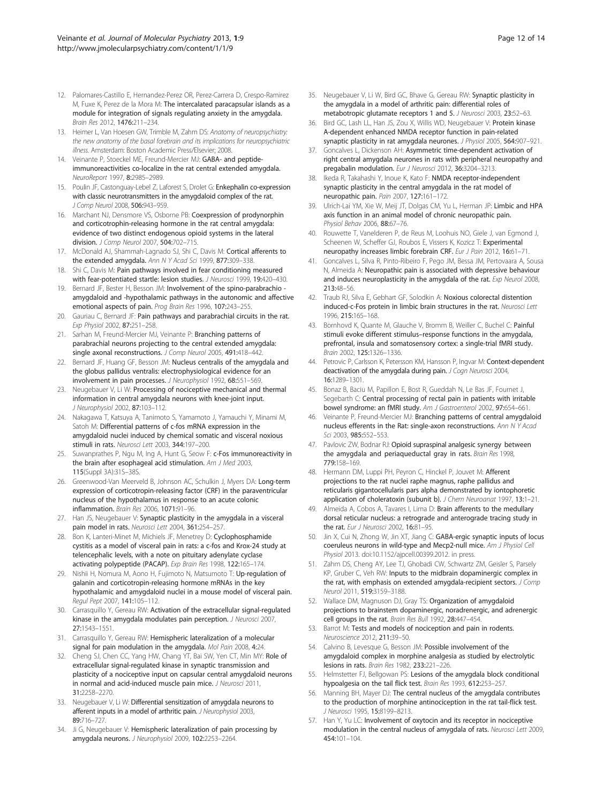- <span id="page-11-0"></span>12. Palomares-Castillo E, Hernandez-Perez OR, Perez-Carrera D, Crespo-Ramirez M, Fuxe K, Perez de la Mora M: The intercalated paracapsular islands as a module for integration of signals regulating anxiety in the amygdala. Brain Res 2012, 1476:211–234.
- 13. Heimer L, Van Hoesen GW, Trimble M, Zahm DS: Anatomy of neuropsychiatry: the new anatomy of the basal forebrain and its implications for neuropsychiatric illness. Amsterdam: Boston Academic Press/Elsevier; 2008.
- 14. Veinante P, Stoeckel ME, Freund-Mercier MJ: GABA- and peptideimmunoreactivities co-localize in the rat central extended amygdala. NeuroReport 1997, 8:2985–2989.
- 15. Poulin JF, Castonguay-Lebel Z, Laforest S, Drolet G: Enkephalin co-expression with classic neurotransmitters in the amygdaloid complex of the rat. J Comp Neurol 2008, 506:943–959.
- 16. Marchant NJ, Densmore VS, Osborne PB: Coexpression of prodynorphin and corticotrophin-releasing hormone in the rat central amygdala: evidence of two distinct endogenous opioid systems in the lateral division. *J Comp Neurol* 2007, 504:702-715.
- 17. McDonald AJ, Shammah-Lagnado SJ, Shi C, Davis M: Cortical afferents to the extended amygdala. Ann N Y Acad Sci 1999, 877:309-338.
- 18. Shi C, Davis M: Pain pathways involved in fear conditioning measured with fear-potentiated startle: lesion studies. *J Neurosci* 1999, 19:420-430.
- 19. Bernard JF, Bester H, Besson JM: Involvement of the spino-parabrachio amygdaloid and -hypothalamic pathways in the autonomic and affective emotional aspects of pain. Prog Brain Res 1996, 107:243–255.
- 20. Gauriau C, Bernard JF: Pain pathways and parabrachial circuits in the rat. Exp Physiol 2002, 87:251–258.
- 21. Sarhan M, Freund-Mercier MJ, Veinante P: Branching patterns of parabrachial neurons projecting to the central extended amygdala: single axonal reconstructions. J Comp Neurol 2005, 491:418-442.
- 22. Bernard JF, Huang GF, Besson JM: Nucleus centralis of the amygdala and the globus pallidus ventralis: electrophysiological evidence for an involvement in pain processes. J Neurophysiol 1992, 68:551–569.
- 23. Neugebauer V, Li W: Processing of nociceptive mechanical and thermal information in central amygdala neurons with knee-joint input. J Neurophysiol 2002, 87:103–112.
- 24. Nakagawa T, Katsuya A, Tanimoto S, Yamamoto J, Yamauchi Y, Minami M, Satoh M: Differential patterns of c-fos mRNA expression in the amygdaloid nuclei induced by chemical somatic and visceral noxious stimuli in rats. Neurosci Lett 2003, 344:197–200.
- 25. Suwanprathes P, Ngu M, Ing A, Hunt G, Seow F: c-Fos immunoreactivity in the brain after esophageal acid stimulation. Am J Med 2003, 115(Suppl 3A):31S–38S.
- 26. Greenwood-Van Meerveld B, Johnson AC, Schulkin J, Myers DA: Long-term expression of corticotropin-releasing factor (CRF) in the paraventricular nucleus of the hypothalamus in response to an acute colonic inflammation. Brain Res 2006, 1071:91–96.
- 27. Han JS, Neugebauer V: Synaptic plasticity in the amygdala in a visceral pain model in rats. Neurosci Lett 2004, 361:254-257.
- 28. Bon K, Lanteri-Minet M, Michiels JF, Menetrey D: Cyclophosphamide cystitis as a model of visceral pain in rats: a c-fos and Krox-24 study at telencephalic levels, with a note on pituitary adenylate cyclase activating polypeptide (PACAP). Exp Brain Res 1998, 122:165–174.
- 29. Nishii H, Nomura M, Aono H, Fujimoto N, Matsumoto T: Up-regulation of galanin and corticotropin-releasing hormone mRNAs in the key hypothalamic and amygdaloid nuclei in a mouse model of visceral pain. Regul Pept 2007, 141:105–112.
- 30. Carrasquillo Y, Gereau RW: Activation of the extracellular signal-regulated kinase in the amygdala modulates pain perception. J Neurosci 2007, 27:1543–1551.
- 31. Carrasquillo Y, Gereau RW: Hemispheric lateralization of a molecular signal for pain modulation in the amygdala. Mol Pain 2008, 4:24.
- 32. Cheng SJ, Chen CC, Yang HW, Chang YT, Bai SW, Yen CT, Min MY: Role of extracellular signal-regulated kinase in synaptic transmission and plasticity of a nociceptive input on capsular central amygdaloid neurons in normal and acid-induced muscle pain mice. J Neurosci 2011, 31:2258–2270.
- 33. Neugebauer V, Li W: Differential sensitization of amygdala neurons to afferent inputs in a model of arthritic pain. J Neurophysiol 2003, 89:716–727.
- 34. Ji G, Neugebauer V: Hemispheric lateralization of pain processing by amygdala neurons. J Neurophysiol 2009, 102:2253–2264.
- 35. Neugebauer V, Li W, Bird GC, Bhave G, Gereau RW: Synaptic plasticity in the amygdala in a model of arthritic pain: differential roles of metabotropic glutamate receptors 1 and 5. J Neurosci 2003, 23:52–63.
- 36. Bird GC, Lash LL, Han JS, Zou X, Willis WD, Neugebauer V: Protein kinase A-dependent enhanced NMDA receptor function in pain-related synaptic plasticity in rat amygdala neurones. J Physiol 2005, 564:907-921.
- 37. Goncalves L, Dickenson AH: Asymmetric time-dependent activation of right central amygdala neurones in rats with peripheral neuropathy and pregabalin modulation. Eur J Neurosci 2012, 36:3204–3213.
- 38. Ikeda R, Takahashi Y, Inoue K, Kato F: NMDA receptor-independent synaptic plasticity in the central amygdala in the rat model of neuropathic pain. Pain 2007, 127:161–172.
- 39. Ulrich-Lai YM, Xie W, Meij JT, Dolgas CM, Yu L, Herman JP: Limbic and HPA axis function in an animal model of chronic neuropathic pain. Physiol Behav 2006, 88:67-76.
- 40. Rouwette T, Vanelderen P, de Reus M, Loohuis NO, Giele J, van Egmond J, Scheenen W, Scheffer GJ, Roubos E, Vissers K, Kozicz T: Experimental neuropathy increases limbic forebrain CRF. Eur J Pain 2012, 16:61-71.
- 41. Goncalves L, Silva R, Pinto-Ribeiro F, Pego JM, Bessa JM, Pertovaara A, Sousa N, Almeida A: Neuropathic pain is associated with depressive behaviour and induces neuroplasticity in the amygdala of the rat. Exp Neurol 2008, 213:48–56.
- 42. Traub RJ, Silva E, Gebhart GF, Solodkin A: Noxious colorectal distention induced-c-Fos protein in limbic brain structures in the rat. Neurosci Lett 1996, 215:165–168.
- 43. Bornhovd K, Quante M, Glauche V, Bromm B, Weiller C, Buchel C: Painful stimuli evoke different stimulus–response functions in the amygdala, prefrontal, insula and somatosensory cortex: a single-trial fMRI study. Brain 2002, 125:1326–1336.
- 44. Petrovic P, Carlsson K, Petersson KM, Hansson P, Ingvar M: Context-dependent deactivation of the amygdala during pain. J Cogn Neurosci 2004, 16:1289–1301.
- 45. Bonaz B, Baciu M, Papillon E, Bost R, Gueddah N, Le Bas JF, Fournet J, Segebarth C: Central processing of rectal pain in patients with irritable bowel syndrome: an fMRI study. Am J Gastroenterol 2002, 97:654–661.
- Veinante P, Freund-Mercier MJ: Branching patterns of central amygdaloid nucleus efferents in the Rat: single-axon reconstructions. Ann N Y Acad Sci 2003, 985:552–553.
- 47. Pavlovic ZW, Bodnar RJ: Opioid supraspinal analgesic synergy between the amygdala and periaqueductal gray in rats. Brain Res 1998, 779:158–169.
- 48. Hermann DM, Luppi PH, Peyron C, Hinckel P, Jouvet M: Afferent projections to the rat nuclei raphe magnus, raphe pallidus and reticularis gigantocellularis pars alpha demonstrated by iontophoretic application of choleratoxin (subunit b). J Chem Neuroanat 1997, 13:1-21.
- 49. Almeida A, Cobos A, Tavares I, Lima D: Brain afferents to the medullary dorsal reticular nucleus: a retrograde and anterograde tracing study in the rat. Eur J Neurosci 2002, 16:81-95.
- 50. Jin X, Cui N, Zhong W, Jin XT, Jiang C: GABA-ergic synaptic inputs of locus coeruleus neurons in wild-type and Mecp2-null mice. Am J Physiol Cell Physiol 2013. doi:[10.1152/ajpcell.00399.2012.](http://dx.doi.org/10.1152/ajpcell.00399.2012) in press.
- 51. Zahm DS, Cheng AY, Lee TJ, Ghobadi CW, Schwartz ZM, Geisler S, Parsely KP, Gruber C, Veh RW: Inputs to the midbrain dopaminergic complex in the rat, with emphasis on extended amygdala-recipient sectors. J Comp Neurol 2011, 519:3159–3188.
- 52. Wallace DM, Magnuson DJ, Gray TS: Organization of amygdaloid projections to brainstem dopaminergic, noradrenergic, and adrenergic cell groups in the rat. Brain Res Bull 1992, 28:447-454.
- 53. Barrot M: Tests and models of nociception and pain in rodents. Neuroscience 2012, 211:39–50.
- 54. Calvino B, Levesque G, Besson JM: Possible involvement of the amygdaloid complex in morphine analgesia as studied by electrolytic lesions in rats. Brain Res 1982, 233:221–226.
- 55. Helmstetter FJ, Bellgowan PS: Lesions of the amygdala block conditional hypoalgesia on the tail flick test. Brain Res 1993, 612:253–257.
- 56. Manning BH, Mayer DJ: The central nucleus of the amygdala contributes to the production of morphine antinociception in the rat tail-flick test. J Neurosci 1995, 15:8199–8213.
- 57. Han Y, Yu LC: Involvement of oxytocin and its receptor in nociceptive modulation in the central nucleus of amygdala of rats. Neurosci Lett 2009, 454:101–104.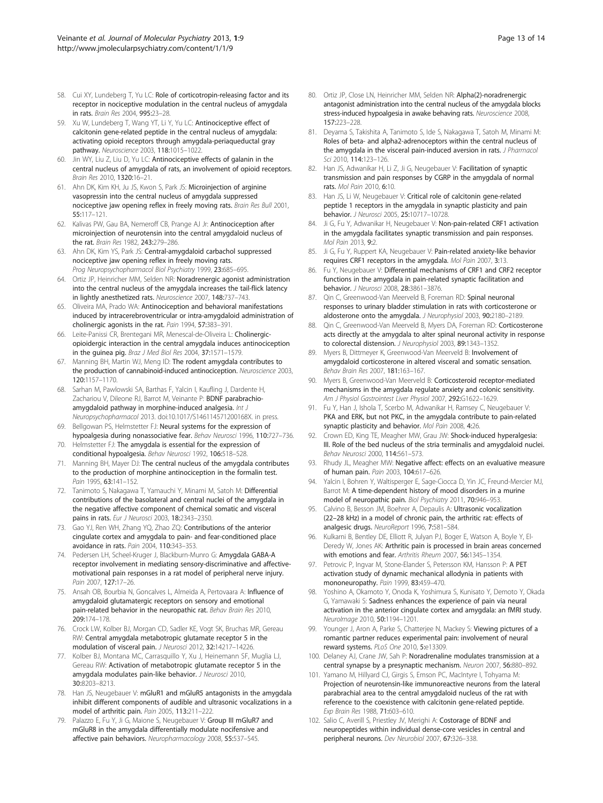- <span id="page-12-0"></span>58. Cui XY, Lundeberg T, Yu LC: Role of corticotropin-releasing factor and its receptor in nociceptive modulation in the central nucleus of amygdala in rats. Brain Res 2004, 995:23–28.
- 59. Xu W, Lundeberg T, Wang YT, Li Y, Yu LC: Antinociceptive effect of calcitonin gene-related peptide in the central nucleus of amygdala: activating opioid receptors through amygdala-periaqueductal gray pathway. Neuroscience 2003, 118:1015–1022.
- 60. Jin WY, Liu Z, Liu D, Yu LC: Antinociceptive effects of galanin in the central nucleus of amygdala of rats, an involvement of opioid receptors. Brain Res 2010, 1320:16–21.
- 61. Ahn DK, Kim KH, Ju JS, Kwon S, Park JS: Microinjection of arginine vasopressin into the central nucleus of amygdala suppressed nociceptive jaw opening reflex in freely moving rats. Brain Res Bull 2001, 55:117–121.
- 62. Kalivas PW, Gau BA, Nemeroff CB, Prange AJ Jr: Antinociception after microinjection of neurotensin into the central amygdaloid nucleus of the rat. Brain Res 1982, 243:279–286.
- 63. Ahn DK, Kim YS, Park JS: Central-amygdaloid carbachol suppressed nociceptive jaw opening reflex in freely moving rats. Prog Neuropsychopharmacol Biol Psychiatry 1999, 23:685–695.
- 64. Ortiz JP, Heinricher MM, Selden NR: Noradrenergic agonist administration into the central nucleus of the amygdala increases the tail-flick latency in lightly anesthetized rats. Neuroscience 2007, 148:737-743.
- 65. Oliveira MA, Prado WA: Antinociception and behavioral manifestations induced by intracerebroventricular or intra-amygdaloid administration of cholinergic agonists in the rat. Pain 1994, 57:383–391.
- 66. Leite-Panissi CR, Brentegani MR, Menescal-de-Oliveira L: Cholinergicopioidergic interaction in the central amygdala induces antinociception in the guinea pig. Braz J Med Biol Res 2004, 37:1571–1579.
- 67. Manning BH, Martin WJ, Meng ID: The rodent amygdala contributes to the production of cannabinoid-induced antinociception. Neuroscience 2003, 120:1157–1170.
- 68. Sarhan M, Pawlowski SA, Barthas F, Yalcin I, Kaufling J, Dardente H, Zachariou V, Dileone RJ, Barrot M, Veinante P: BDNF parabrachioamygdaloid pathway in morphine-induced analgesia. Int J Neuropsychopharmacol 2013. doi[:10.1017/S146114571200168X.](http://dx.doi.org/10.1017/S146114571200168X) in press.
- 69. Bellgowan PS, Helmstetter FJ: Neural systems for the expression of hypoalgesia during nonassociative fear. Behav Neurosci 1996, 110:727–736.
- 70. Helmstetter FJ: The amygdala is essential for the expression of conditional hypoalgesia. Behav Neurosci 1992, 106:518–528.
- 71. Manning BH, Mayer DJ: The central nucleus of the amygdala contributes to the production of morphine antinociception in the formalin test. Pain 1995, 63:141-152.
- 72. Tanimoto S, Nakagawa T, Yamauchi Y, Minami M, Satoh M: Differential contributions of the basolateral and central nuclei of the amygdala in the negative affective component of chemical somatic and visceral pains in rats. Eur J Neurosci 2003, 18:2343–2350.
- 73. Gao YJ, Ren WH, Zhang YQ, Zhao ZQ: Contributions of the anterior cingulate cortex and amygdala to pain- and fear-conditioned place avoidance in rats. Pain 2004, 110:343–353.
- 74. Pedersen LH, Scheel-Kruger J, Blackburn-Munro G: Amygdala GABA-A receptor involvement in mediating sensory-discriminative and affectivemotivational pain responses in a rat model of peripheral nerve injury. Pain 2007, 127:17–26.
- 75. Ansah OB, Bourbia N, Goncalves L, Almeida A, Pertovaara A: Influence of amygdaloid glutamatergic receptors on sensory and emotional pain-related behavior in the neuropathic rat. Behav Brain Res 2010, 209:174–178.
- 76. Crock LW, Kolber BJ, Morgan CD, Sadler KE, Vogt SK, Bruchas MR, Gereau RW: Central amygdala metabotropic glutamate receptor 5 in the modulation of visceral pain. J Neurosci 2012, 32:14217–14226.
- 77. Kolber BJ, Montana MC, Carrasquillo Y, Xu J, Heinemann SF, Muglia LJ, Gereau RW: Activation of metabotropic glutamate receptor 5 in the amygdala modulates pain-like behavior. J Neurosci 2010, 30:8203–8213.
- 78. Han JS, Neugebauer V: mGluR1 and mGluR5 antagonists in the amygdala inhibit different components of audible and ultrasonic vocalizations in a model of arthritic pain. Pain 2005, 113:211–222.
- 79. Palazzo E, Fu Y, Ji G, Maione S, Neugebauer V: Group III mGluR7 and mGluR8 in the amygdala differentially modulate nocifensive and affective pain behaviors. Neuropharmacology 2008, 55:537–545.
- 80. Ortiz JP, Close LN, Heinricher MM, Selden NR: Alpha(2)-noradrenergic antagonist administration into the central nucleus of the amygdala blocks stress-induced hypoalgesia in awake behaving rats. Neuroscience 2008, 157:223–228.
- 81. Deyama S, Takishita A, Tanimoto S, Ide S, Nakagawa T, Satoh M, Minami M: Roles of beta- and alpha2-adrenoceptors within the central nucleus of the amygdala in the visceral pain-induced aversion in rats. J Pharmacol Sci 2010, 114:123–126.
- 82. Han JS, Adwanikar H, Li Z, Ji G, Neugebauer V: Facilitation of synaptic transmission and pain responses by CGRP in the amygdala of normal rats. Mol Pain 2010, 6:10.
- 83. Han JS, Li W, Neugebauer V: Critical role of calcitonin gene-related peptide 1 receptors in the amygdala in synaptic plasticity and pain behavior. J Neurosci 2005, 25:10717–10728.
- Ji G, Fu Y, Adwanikar H, Neugebauer V: Non-pain-related CRF1 activation in the amygdala facilitates synaptic transmission and pain responses. Mol Pain 2013, 9:2.
- Ji G, Fu Y, Ruppert KA, Neugebauer V: Pain-related anxiety-like behavior requires CRF1 receptors in the amygdala. Mol Pain 2007, 3:13.
- 86. Fu Y, Neugebauer V: Differential mechanisms of CRF1 and CRF2 receptor functions in the amygdala in pain-related synaptic facilitation and behavior. J Neurosci 2008, 28:3861–3876.
- 87. Oin C, Greenwood-Van Meerveld B, Foreman RD: Spinal neuronal responses to urinary bladder stimulation in rats with corticosterone or aldosterone onto the amygdala. J Neurophysiol 2003, 90:2180–2189.
- 88. Qin C, Greenwood-Van Meerveld B, Myers DA, Foreman RD: Corticosterone acts directly at the amygdala to alter spinal neuronal activity in response to colorectal distension. J Neurophysiol 2003, 89:1343–1352.
- Myers B, Dittmeyer K, Greenwood-Van Meerveld B: Involvement of amygdaloid corticosterone in altered visceral and somatic sensation. Behav Brain Res 2007, 181:163–167.
- 90. Myers B, Greenwood-Van Meerveld B: Corticosteroid receptor-mediated mechanisms in the amygdala regulate anxiety and colonic sensitivity. Am J Physiol Gastrointest Liver Physiol 2007, 292:G1622–1629.
- 91. Fu Y, Han J, Ishola T, Scerbo M, Adwanikar H, Ramsey C, Neugebauer V: PKA and ERK, but not PKC, in the amygdala contribute to pain-related synaptic plasticity and behavior. Mol Pain 2008, 4:26.
- 92. Crown ED, King TE, Meagher MW, Grau JW: Shock-induced hyperalgesia: III. Role of the bed nucleus of the stria terminalis and amygdaloid nuclei. Behav Neurosci 2000, 114:561–573.
- 93. Rhudy JL, Meagher MW: Negative affect: effects on an evaluative measure of human pain. Pain 2003, 104:617–626.
- 94. Yalcin I, Bohren Y, Waltisperger E, Sage-Ciocca D, Yin JC, Freund-Mercier MJ, Barrot M: A time-dependent history of mood disorders in a murine model of neuropathic pain. Biol Psychiatry 2011, 70:946–953.
- 95. Calvino B, Besson JM, Boehrer A, Depaulis A: Ultrasonic vocalization (22–28 kHz) in a model of chronic pain, the arthritic rat: effects of analgesic drugs. NeuroReport 1996, 7:581–584.
- 96. Kulkarni B, Bentley DE, Elliott R, Julyan PJ, Boger E, Watson A, Boyle Y, El-Deredy W, Jones AK: Arthritic pain is processed in brain areas concerned with emotions and fear. Arthritis Rheum 2007, 56:1345–1354.
- Petrovic P, Ingvar M, Stone-Elander S, Petersson KM, Hansson P: A PET activation study of dynamic mechanical allodynia in patients with mononeuropathy. Pain 1999, 83:459–470.
- 98. Yoshino A, Okamoto Y, Onoda K, Yoshimura S, Kunisato Y, Demoto Y, Okada G, Yamawaki S: Sadness enhances the experience of pain via neural activation in the anterior cingulate cortex and amygdala: an fMRI study. NeuroImage 2010, 50:1194–1201.
- 99. Younger J, Aron A, Parke S, Chatterjee N, Mackey S: Viewing pictures of a romantic partner reduces experimental pain: involvement of neural reward systems. PLoS One 2010, 5:e13309.
- 100. Delaney AJ, Crane JW, Sah P: Noradrenaline modulates transmission at a central synapse by a presynaptic mechanism. Neuron 2007, 56:880–892.
- 101. Yamano M, Hillyard CJ, Girgis S, Emson PC, MacIntyre I, Tohyama M: Projection of neurotensin-like immunoreactive neurons from the lateral parabrachial area to the central amygdaloid nucleus of the rat with reference to the coexistence with calcitonin gene-related peptide. Exp Brain Res 1988, 71:603–610.
- 102. Salio C, Averill S, Priestley JV, Merighi A: Costorage of BDNF and neuropeptides within individual dense-core vesicles in central and peripheral neurons. Dev Neurobiol 2007, 67:326–338.